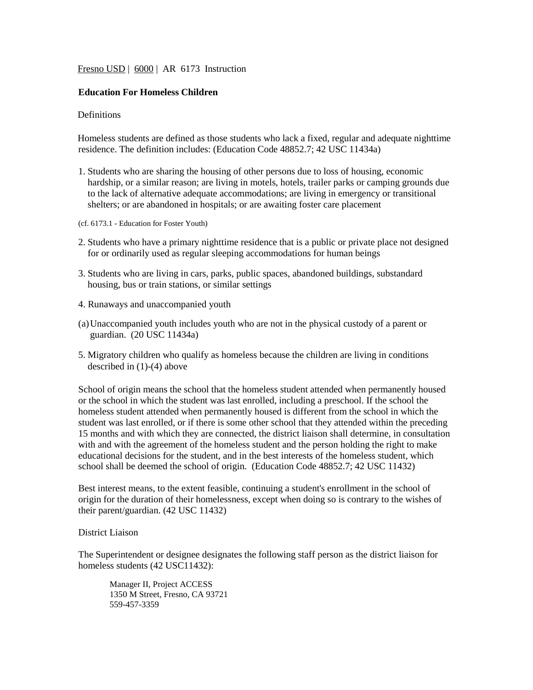Fresno USD | 6000 | AR 6173 Instruction

# **Education For Homeless Children**

# Definitions

Homeless students are defined as those students who lack a fixed, regular and adequate nighttime residence. The definition includes: (Education Code 48852.7; 42 USC 11434a)

- 1. Students who are sharing the housing of other persons due to loss of housing, economic hardship, or a similar reason; are living in motels, hotels, trailer parks or camping grounds due to the lack of alternative adequate accommodations; are living in emergency or transitional shelters; or are abandoned in hospitals; or are awaiting foster care placement
- (cf. 6173.1 Education for Foster Youth)
- 2. Students who have a primary nighttime residence that is a public or private place not designed for or ordinarily used as regular sleeping accommodations for human beings
- 3. Students who are living in cars, parks, public spaces, abandoned buildings, substandard housing, bus or train stations, or similar settings
- 4. Runaways and unaccompanied youth
- (a)Unaccompanied youth includes youth who are not in the physical custody of a parent or guardian. (20 USC 11434a)
- 5. Migratory children who qualify as homeless because the children are living in conditions described in (1)-(4) above

School of origin means the school that the homeless student attended when permanently housed or the school in which the student was last enrolled, including a preschool. If the school the homeless student attended when permanently housed is different from the school in which the student was last enrolled, or if there is some other school that they attended within the preceding 15 months and with which they are connected, the district liaison shall determine, in consultation with and with the agreement of the homeless student and the person holding the right to make educational decisions for the student, and in the best interests of the homeless student, which school shall be deemed the school of origin. (Education Code 48852.7; 42 USC 11432)

Best interest means, to the extent feasible, continuing a student's enrollment in the school of origin for the duration of their homelessness, except when doing so is contrary to the wishes of their parent/guardian. (42 USC 11432)

# District Liaison

The Superintendent or designee designates the following staff person as the district liaison for homeless students (42 USC11432):

Manager II, Project ACCESS 1350 M Street, Fresno, CA 93721 559-457-3359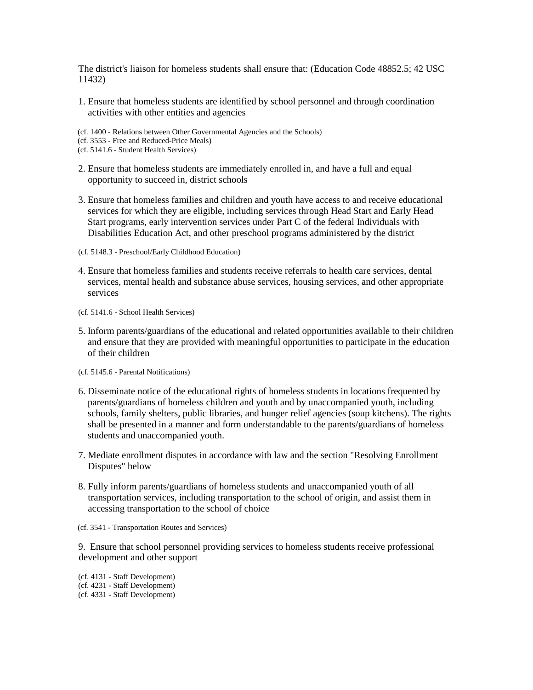The district's liaison for homeless students shall ensure that: (Education Code 48852.5; 42 USC 11432)

1. Ensure that homeless students are identified by school personnel and through coordination activities with other entities and agencies

(cf. 1400 - Relations between Other Governmental Agencies and the Schools)

(cf. 3553 - Free and Reduced-Price Meals)

(cf. 5141.6 - Student Health Services)

- 2. Ensure that homeless students are immediately enrolled in, and have a full and equal opportunity to succeed in, district schools
- 3. Ensure that homeless families and children and youth have access to and receive educational services for which they are eligible, including services through Head Start and Early Head Start programs, early intervention services under Part C of the federal Individuals with Disabilities Education Act, and other preschool programs administered by the district

(cf. 5148.3 - Preschool/Early Childhood Education)

4. Ensure that homeless families and students receive referrals to health care services, dental services, mental health and substance abuse services, housing services, and other appropriate services

(cf. 5141.6 - School Health Services)

- 5. Inform parents/guardians of the educational and related opportunities available to their children and ensure that they are provided with meaningful opportunities to participate in the education of their children
- (cf. 5145.6 Parental Notifications)
- 6. Disseminate notice of the educational rights of homeless students in locations frequented by parents/guardians of homeless children and youth and by unaccompanied youth, including schools, family shelters, public libraries, and hunger relief agencies (soup kitchens). The rights shall be presented in a manner and form understandable to the parents/guardians of homeless students and unaccompanied youth.
- 7. Mediate enrollment disputes in accordance with law and the section "Resolving Enrollment Disputes" below
- 8. Fully inform parents/guardians of homeless students and unaccompanied youth of all transportation services, including transportation to the school of origin, and assist them in accessing transportation to the school of choice

(cf. 3541 - Transportation Routes and Services)

9. Ensure that school personnel providing services to homeless students receive professional development and other support

(cf. 4131 - Staff Development) (cf. 4231 - Staff Development) (cf. 4331 - Staff Development)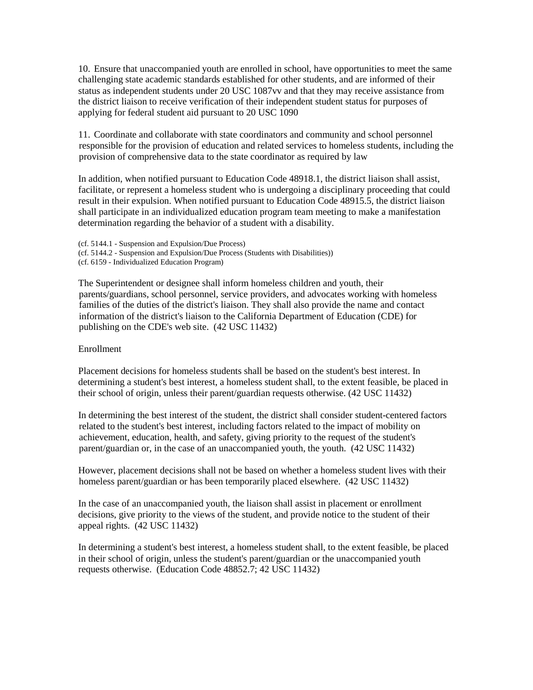10. Ensure that unaccompanied youth are enrolled in school, have opportunities to meet the same challenging state academic standards established for other students, and are informed of their status as independent students under 20 USC 1087vv and that they may receive assistance from the district liaison to receive verification of their independent student status for purposes of applying for federal student aid pursuant to 20 USC 1090

11. Coordinate and collaborate with state coordinators and community and school personnel responsible for the provision of education and related services to homeless students, including the provision of comprehensive data to the state coordinator as required by law

In addition, when notified pursuant to Education Code 48918.1, the district liaison shall assist, facilitate, or represent a homeless student who is undergoing a disciplinary proceeding that could result in their expulsion. When notified pursuant to Education Code 48915.5, the district liaison shall participate in an individualized education program team meeting to make a manifestation determination regarding the behavior of a student with a disability.

- (cf. 5144.1 Suspension and Expulsion/Due Process)
- (cf. 5144.2 Suspension and Expulsion/Due Process (Students with Disabilities))
- (cf. 6159 Individualized Education Program)

The Superintendent or designee shall inform homeless children and youth, their parents/guardians, school personnel, service providers, and advocates working with homeless families of the duties of the district's liaison. They shall also provide the name and contact information of the district's liaison to the California Department of Education (CDE) for publishing on the CDE's web site. (42 USC 11432)

#### Enrollment

Placement decisions for homeless students shall be based on the student's best interest. In determining a student's best interest, a homeless student shall, to the extent feasible, be placed in their school of origin, unless their parent/guardian requests otherwise. (42 USC 11432)

In determining the best interest of the student, the district shall consider student-centered factors related to the student's best interest, including factors related to the impact of mobility on achievement, education, health, and safety, giving priority to the request of the student's parent/guardian or, in the case of an unaccompanied youth, the youth. (42 USC 11432)

However, placement decisions shall not be based on whether a homeless student lives with their homeless parent/guardian or has been temporarily placed elsewhere. (42 USC 11432)

In the case of an unaccompanied youth, the liaison shall assist in placement or enrollment decisions, give priority to the views of the student, and provide notice to the student of their appeal rights. (42 USC 11432)

In determining a student's best interest, a homeless student shall, to the extent feasible, be placed in their school of origin, unless the student's parent/guardian or the unaccompanied youth requests otherwise. (Education Code 48852.7; 42 USC 11432)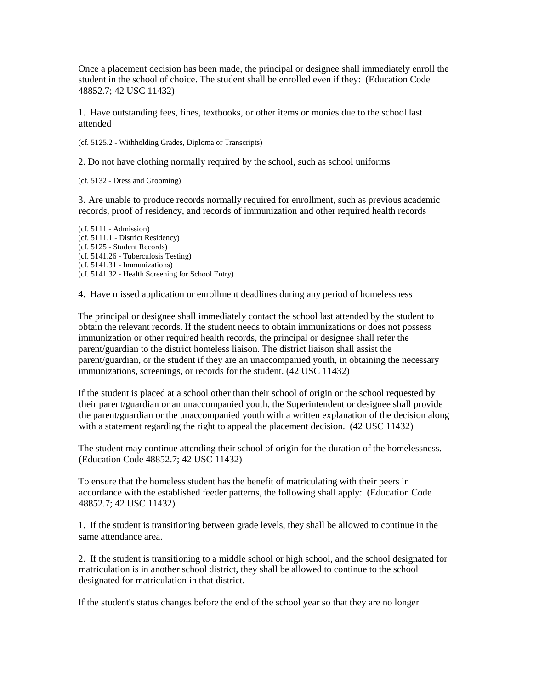Once a placement decision has been made, the principal or designee shall immediately enroll the student in the school of choice. The student shall be enrolled even if they: (Education Code 48852.7; 42 USC 11432)

1. Have outstanding fees, fines, textbooks, or other items or monies due to the school last attended

(cf. 5125.2 - Withholding Grades, Diploma or Transcripts)

2. Do not have clothing normally required by the school, such as school uniforms

(cf. 5132 - Dress and Grooming)

3. Are unable to produce records normally required for enrollment, such as previous academic records, proof of residency, and records of immunization and other required health records

(cf. 5111 - Admission) (cf. 5111.1 - District Residency) (cf. 5125 - Student Records) (cf. 5141.26 - Tuberculosis Testing) (cf. 5141.31 - Immunizations) (cf. 5141.32 - Health Screening for School Entry)

4. Have missed application or enrollment deadlines during any period of homelessness

The principal or designee shall immediately contact the school last attended by the student to obtain the relevant records. If the student needs to obtain immunizations or does not possess immunization or other required health records, the principal or designee shall refer the parent/guardian to the district homeless liaison. The district liaison shall assist the parent/guardian, or the student if they are an unaccompanied youth, in obtaining the necessary immunizations, screenings, or records for the student. (42 USC 11432)

If the student is placed at a school other than their school of origin or the school requested by their parent/guardian or an unaccompanied youth, the Superintendent or designee shall provide the parent/guardian or the unaccompanied youth with a written explanation of the decision along with a statement regarding the right to appeal the placement decision.  $(42 \text{ USC } 11432)$ 

The student may continue attending their school of origin for the duration of the homelessness. (Education Code 48852.7; 42 USC 11432)

To ensure that the homeless student has the benefit of matriculating with their peers in accordance with the established feeder patterns, the following shall apply: (Education Code 48852.7; 42 USC 11432)

1. If the student is transitioning between grade levels, they shall be allowed to continue in the same attendance area.

2. If the student is transitioning to a middle school or high school, and the school designated for matriculation is in another school district, they shall be allowed to continue to the school designated for matriculation in that district.

If the student's status changes before the end of the school year so that they are no longer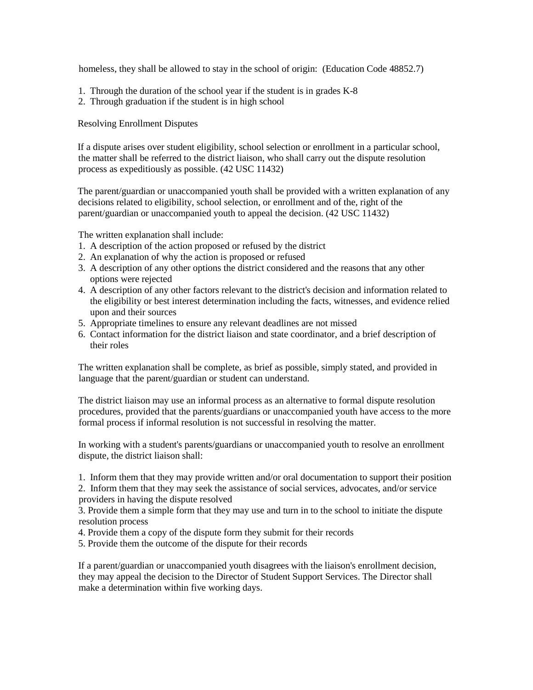homeless, they shall be allowed to stay in the school of origin: (Education Code 48852.7)

- 1. Through the duration of the school year if the student is in grades K-8
- 2. Through graduation if the student is in high school

Resolving Enrollment Disputes

If a dispute arises over student eligibility, school selection or enrollment in a particular school, the matter shall be referred to the district liaison, who shall carry out the dispute resolution process as expeditiously as possible. (42 USC 11432)

The parent/guardian or unaccompanied youth shall be provided with a written explanation of any decisions related to eligibility, school selection, or enrollment and of the, right of the parent/guardian or unaccompanied youth to appeal the decision. (42 USC 11432)

The written explanation shall include:

- 1. A description of the action proposed or refused by the district
- 2. An explanation of why the action is proposed or refused
- 3. A description of any other options the district considered and the reasons that any other options were rejected
- 4. A description of any other factors relevant to the district's decision and information related to the eligibility or best interest determination including the facts, witnesses, and evidence relied upon and their sources
- 5. Appropriate timelines to ensure any relevant deadlines are not missed
- 6. Contact information for the district liaison and state coordinator, and a brief description of their roles

The written explanation shall be complete, as brief as possible, simply stated, and provided in language that the parent/guardian or student can understand.

The district liaison may use an informal process as an alternative to formal dispute resolution procedures, provided that the parents/guardians or unaccompanied youth have access to the more formal process if informal resolution is not successful in resolving the matter.

In working with a student's parents/guardians or unaccompanied youth to resolve an enrollment dispute, the district liaison shall:

1. Inform them that they may provide written and/or oral documentation to support their position 2. Inform them that they may seek the assistance of social services, advocates, and/or service

providers in having the dispute resolved

3. Provide them a simple form that they may use and turn in to the school to initiate the dispute resolution process

- 4. Provide them a copy of the dispute form they submit for their records
- 5. Provide them the outcome of the dispute for their records

If a parent/guardian or unaccompanied youth disagrees with the liaison's enrollment decision, they may appeal the decision to the Director of Student Support Services. The Director shall make a determination within five working days.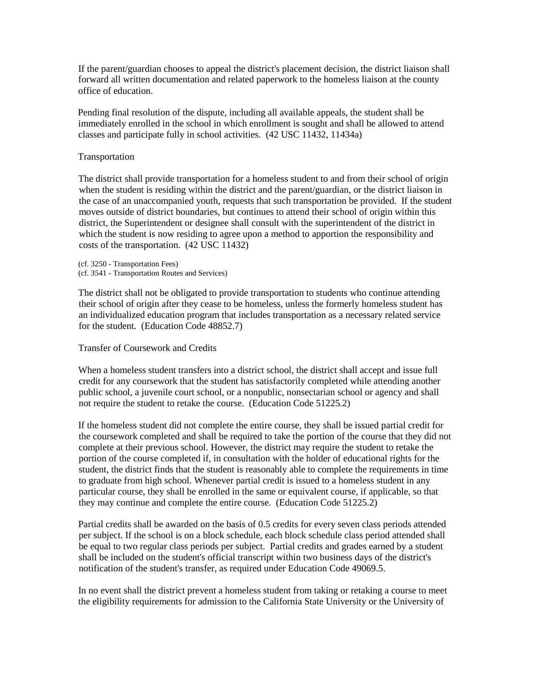If the parent/guardian chooses to appeal the district's placement decision, the district liaison shall forward all written documentation and related paperwork to the homeless liaison at the county office of education.

Pending final resolution of the dispute, including all available appeals, the student shall be immediately enrolled in the school in which enrollment is sought and shall be allowed to attend classes and participate fully in school activities. (42 USC 11432, 11434a)

# Transportation

The district shall provide transportation for a homeless student to and from their school of origin when the student is residing within the district and the parent/guardian, or the district liaison in the case of an unaccompanied youth, requests that such transportation be provided. If the student moves outside of district boundaries, but continues to attend their school of origin within this district, the Superintendent or designee shall consult with the superintendent of the district in which the student is now residing to agree upon a method to apportion the responsibility and costs of the transportation. (42 USC 11432)

(cf. 3250 - Transportation Fees) (cf. 3541 - Transportation Routes and Services)

The district shall not be obligated to provide transportation to students who continue attending their school of origin after they cease to be homeless, unless the formerly homeless student has an individualized education program that includes transportation as a necessary related service for the student. (Education Code 48852.7)

Transfer of Coursework and Credits

When a homeless student transfers into a district school, the district shall accept and issue full credit for any coursework that the student has satisfactorily completed while attending another public school, a juvenile court school, or a nonpublic, nonsectarian school or agency and shall not require the student to retake the course. (Education Code 51225.2)

If the homeless student did not complete the entire course, they shall be issued partial credit for the coursework completed and shall be required to take the portion of the course that they did not complete at their previous school. However, the district may require the student to retake the portion of the course completed if, in consultation with the holder of educational rights for the student, the district finds that the student is reasonably able to complete the requirements in time to graduate from high school. Whenever partial credit is issued to a homeless student in any particular course, they shall be enrolled in the same or equivalent course, if applicable, so that they may continue and complete the entire course. (Education Code 51225.2)

Partial credits shall be awarded on the basis of 0.5 credits for every seven class periods attended per subject. If the school is on a block schedule, each block schedule class period attended shall be equal to two regular class periods per subject. Partial credits and grades earned by a student shall be included on the student's official transcript within two business days of the district's notification of the student's transfer, as required under Education Code 49069.5.

In no event shall the district prevent a homeless student from taking or retaking a course to meet the eligibility requirements for admission to the California State University or the University of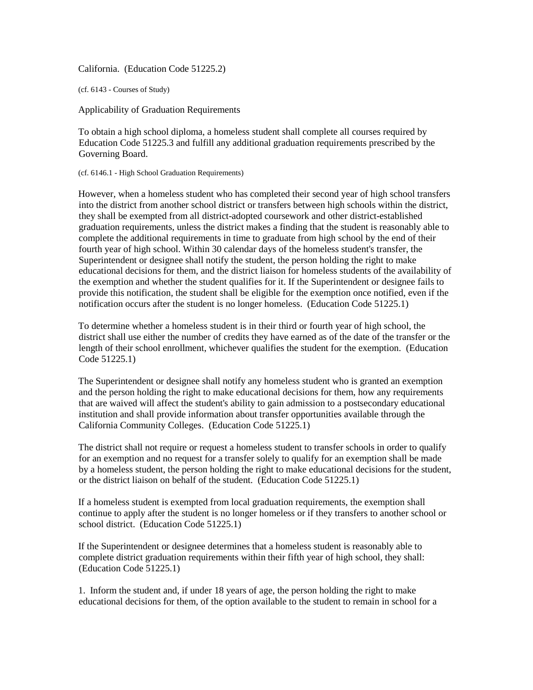California. (Education Code 51225.2)

(cf. 6143 - Courses of Study)

Applicability of Graduation Requirements

To obtain a high school diploma, a homeless student shall complete all courses required by Education Code 51225.3 and fulfill any additional graduation requirements prescribed by the Governing Board.

(cf. 6146.1 - High School Graduation Requirements)

However, when a homeless student who has completed their second year of high school transfers into the district from another school district or transfers between high schools within the district, they shall be exempted from all district-adopted coursework and other district-established graduation requirements, unless the district makes a finding that the student is reasonably able to complete the additional requirements in time to graduate from high school by the end of their fourth year of high school. Within 30 calendar days of the homeless student's transfer, the Superintendent or designee shall notify the student, the person holding the right to make educational decisions for them, and the district liaison for homeless students of the availability of the exemption and whether the student qualifies for it. If the Superintendent or designee fails to provide this notification, the student shall be eligible for the exemption once notified, even if the notification occurs after the student is no longer homeless. (Education Code 51225.1)

To determine whether a homeless student is in their third or fourth year of high school, the district shall use either the number of credits they have earned as of the date of the transfer or the length of their school enrollment, whichever qualifies the student for the exemption. (Education Code 51225.1)

The Superintendent or designee shall notify any homeless student who is granted an exemption and the person holding the right to make educational decisions for them, how any requirements that are waived will affect the student's ability to gain admission to a postsecondary educational institution and shall provide information about transfer opportunities available through the California Community Colleges. (Education Code 51225.1)

The district shall not require or request a homeless student to transfer schools in order to qualify for an exemption and no request for a transfer solely to qualify for an exemption shall be made by a homeless student, the person holding the right to make educational decisions for the student, or the district liaison on behalf of the student. (Education Code 51225.1)

If a homeless student is exempted from local graduation requirements, the exemption shall continue to apply after the student is no longer homeless or if they transfers to another school or school district. (Education Code 51225.1)

If the Superintendent or designee determines that a homeless student is reasonably able to complete district graduation requirements within their fifth year of high school, they shall: (Education Code 51225.1)

1. Inform the student and, if under 18 years of age, the person holding the right to make educational decisions for them, of the option available to the student to remain in school for a